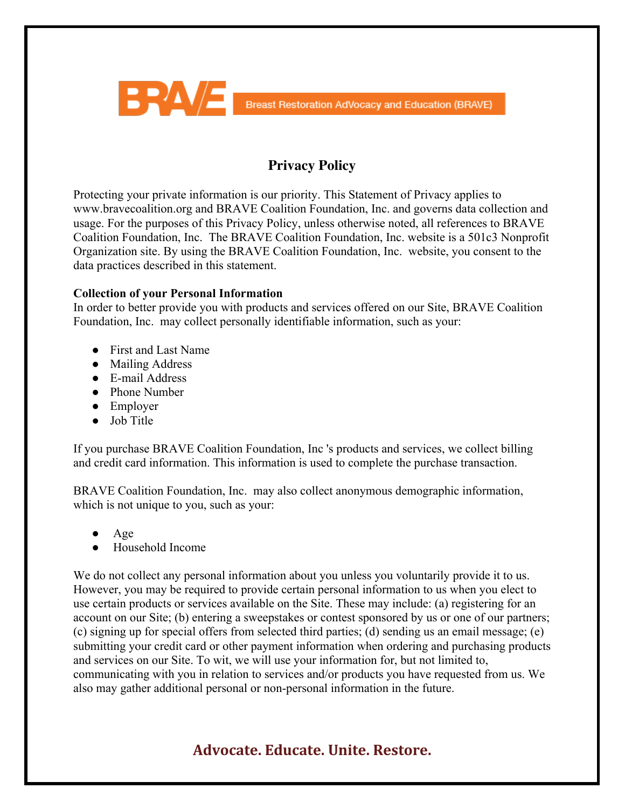

### **Privacy Policy**

Protecting your private information is our priority. This Statement of Privacy applies to www.bravecoalition.org and BRAVE Coalition Foundation, Inc. and governs data collection and usage. For the purposes of this Privacy Policy, unless otherwise noted, all references to BRAVE Coalition Foundation, Inc. The BRAVE Coalition Foundation, Inc. website is a 501c3 Nonprofit Organization site. By using the BRAVE Coalition Foundation, Inc. website, you consent to the data practices described in this statement.

#### **Collection of your Personal Information**

In order to better provide you with products and services offered on our Site, BRAVE Coalition Foundation, Inc. may collect personally identifiable information, such as your:

- First and Last Name
- Mailing Address
- E-mail Address
- Phone Number
- Employer
- Job Title

If you purchase BRAVE Coalition Foundation, Inc 's products and services, we collect billing and credit card information. This information is used to complete the purchase transaction.

BRAVE Coalition Foundation, Inc. may also collect anonymous demographic information, which is not unique to you, such as your:

- Age
- Household Income

We do not collect any personal information about you unless you voluntarily provide it to us. However, you may be required to provide certain personal information to us when you elect to use certain products or services available on the Site. These may include: (a) registering for an account on our Site; (b) entering a sweepstakes or contest sponsored by us or one of our partners; (c) signing up for special offers from selected third parties; (d) sending us an email message; (e) submitting your credit card or other payment information when ordering and purchasing products and services on our Site. To wit, we will use your information for, but not limited to, communicating with you in relation to services and/or products you have requested from us. We also may gather additional personal or non-personal information in the future.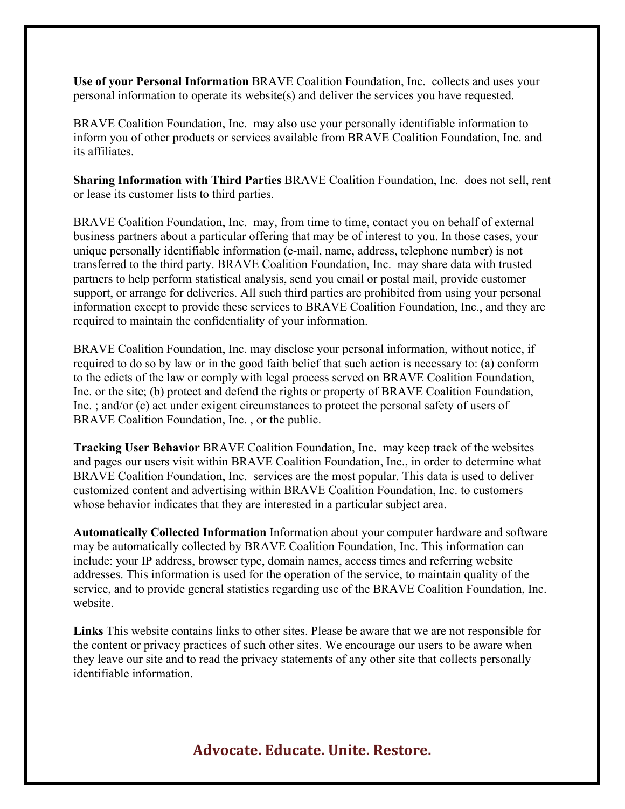**Use of your Personal Information** BRAVE Coalition Foundation, Inc. collects and uses your personal information to operate its website(s) and deliver the services you have requested.

BRAVE Coalition Foundation, Inc. may also use your personally identifiable information to inform you of other products or services available from BRAVE Coalition Foundation, Inc. and its affiliates.

**Sharing Information with Third Parties** BRAVE Coalition Foundation, Inc. does not sell, rent or lease its customer lists to third parties.

BRAVE Coalition Foundation, Inc. may, from time to time, contact you on behalf of external business partners about a particular offering that may be of interest to you. In those cases, your unique personally identifiable information (e-mail, name, address, telephone number) is not transferred to the third party. BRAVE Coalition Foundation, Inc. may share data with trusted partners to help perform statistical analysis, send you email or postal mail, provide customer support, or arrange for deliveries. All such third parties are prohibited from using your personal information except to provide these services to BRAVE Coalition Foundation, Inc., and they are required to maintain the confidentiality of your information.

BRAVE Coalition Foundation, Inc. may disclose your personal information, without notice, if required to do so by law or in the good faith belief that such action is necessary to: (a) conform to the edicts of the law or comply with legal process served on BRAVE Coalition Foundation, Inc. or the site; (b) protect and defend the rights or property of BRAVE Coalition Foundation, Inc. ; and/or (c) act under exigent circumstances to protect the personal safety of users of BRAVE Coalition Foundation, Inc. , or the public.

**Tracking User Behavior** BRAVE Coalition Foundation, Inc. may keep track of the websites and pages our users visit within BRAVE Coalition Foundation, Inc., in order to determine what BRAVE Coalition Foundation, Inc. services are the most popular. This data is used to deliver customized content and advertising within BRAVE Coalition Foundation, Inc. to customers whose behavior indicates that they are interested in a particular subject area.

**Automatically Collected Information** Information about your computer hardware and software may be automatically collected by BRAVE Coalition Foundation, Inc. This information can include: your IP address, browser type, domain names, access times and referring website addresses. This information is used for the operation of the service, to maintain quality of the service, and to provide general statistics regarding use of the BRAVE Coalition Foundation, Inc. website.

**Links** This website contains links to other sites. Please be aware that we are not responsible for the content or privacy practices of such other sites. We encourage our users to be aware when they leave our site and to read the privacy statements of any other site that collects personally identifiable information.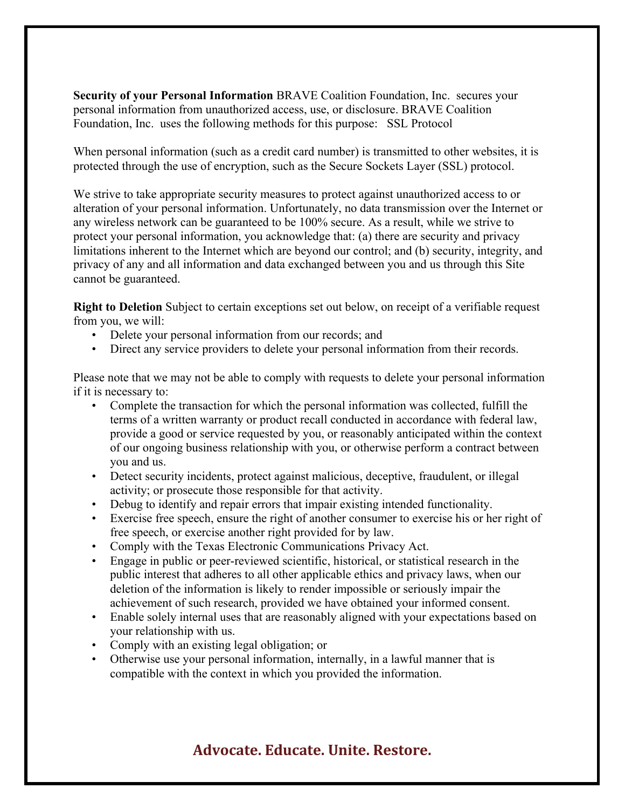**Security of your Personal Information** BRAVE Coalition Foundation, Inc. secures your personal information from unauthorized access, use, or disclosure. BRAVE Coalition Foundation, Inc. uses the following methods for this purpose: SSL Protocol

When personal information (such as a credit card number) is transmitted to other websites, it is protected through the use of encryption, such as the Secure Sockets Layer (SSL) protocol.

We strive to take appropriate security measures to protect against unauthorized access to or alteration of your personal information. Unfortunately, no data transmission over the Internet or any wireless network can be guaranteed to be 100% secure. As a result, while we strive to protect your personal information, you acknowledge that: (a) there are security and privacy limitations inherent to the Internet which are beyond our control; and (b) security, integrity, and privacy of any and all information and data exchanged between you and us through this Site cannot be guaranteed.

**Right to Deletion** Subject to certain exceptions set out below, on receipt of a verifiable request from you, we will:

- Delete your personal information from our records; and
- Direct any service providers to delete your personal information from their records.

Please note that we may not be able to comply with requests to delete your personal information if it is necessary to:

- Complete the transaction for which the personal information was collected, fulfill the terms of a written warranty or product recall conducted in accordance with federal law, provide a good or service requested by you, or reasonably anticipated within the context of our ongoing business relationship with you, or otherwise perform a contract between you and us.
- Detect security incidents, protect against malicious, deceptive, fraudulent, or illegal activity; or prosecute those responsible for that activity.
- Debug to identify and repair errors that impair existing intended functionality.
- Exercise free speech, ensure the right of another consumer to exercise his or her right of free speech, or exercise another right provided for by law.
- Comply with the Texas Electronic Communications Privacy Act.
- Engage in public or peer-reviewed scientific, historical, or statistical research in the public interest that adheres to all other applicable ethics and privacy laws, when our deletion of the information is likely to render impossible or seriously impair the achievement of such research, provided we have obtained your informed consent.
- Enable solely internal uses that are reasonably aligned with your expectations based on your relationship with us.
- Comply with an existing legal obligation; or
- Otherwise use your personal information, internally, in a lawful manner that is compatible with the context in which you provided the information.